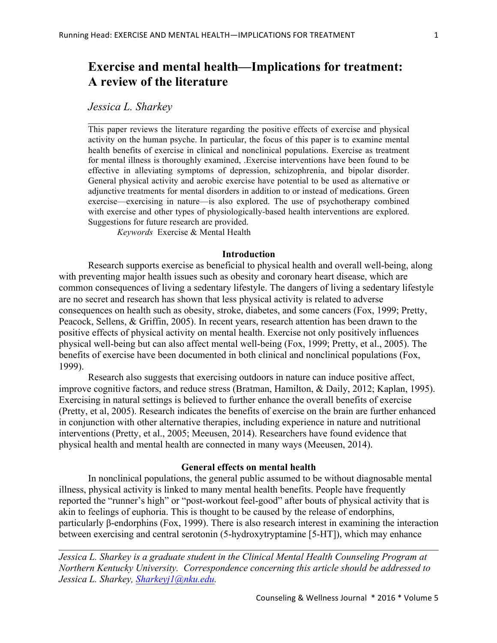# **Exercise and mental health—Implications for treatment: A review of the literature**

 $\mathcal{L}_\text{max}$  , and the contribution of the contribution of the contribution of the contribution of the contribution of the contribution of the contribution of the contribution of the contribution of the contribution of t

*Jessica L. Sharkey*

This paper reviews the literature regarding the positive effects of exercise and physical activity on the human psyche. In particular, the focus of this paper is to examine mental health benefits of exercise in clinical and nonclinical populations. Exercise as treatment for mental illness is thoroughly examined, .Exercise interventions have been found to be effective in alleviating symptoms of depression, schizophrenia, and bipolar disorder. General physical activity and aerobic exercise have potential to be used as alternative or adjunctive treatments for mental disorders in addition to or instead of medications. Green exercise—exercising in nature—is also explored. The use of psychotherapy combined with exercise and other types of physiologically-based health interventions are explored. Suggestions for future research are provided.

*Keywords* Exercise & Mental Health

# **Introduction**

Research supports exercise as beneficial to physical health and overall well-being, along with preventing major health issues such as obesity and coronary heart disease, which are common consequences of living a sedentary lifestyle. The dangers of living a sedentary lifestyle are no secret and research has shown that less physical activity is related to adverse consequences on health such as obesity, stroke, diabetes, and some cancers (Fox, 1999; Pretty, Peacock, Sellens, & Griffin, 2005). In recent years, research attention has been drawn to the positive effects of physical activity on mental health. Exercise not only positively influences physical well-being but can also affect mental well-being (Fox, 1999; Pretty, et al., 2005). The benefits of exercise have been documented in both clinical and nonclinical populations (Fox, 1999).

Research also suggests that exercising outdoors in nature can induce positive affect, improve cognitive factors, and reduce stress (Bratman, Hamilton, & Daily, 2012; Kaplan, 1995). Exercising in natural settings is believed to further enhance the overall benefits of exercise (Pretty, et al, 2005). Research indicates the benefits of exercise on the brain are further enhanced in conjunction with other alternative therapies, including experience in nature and nutritional interventions (Pretty, et al., 2005; Meeusen, 2014). Researchers have found evidence that physical health and mental health are connected in many ways (Meeusen, 2014).

# **General effects on mental health**

In nonclinical populations, the general public assumed to be without diagnosable mental illness, physical activity is linked to many mental health benefits. People have frequently reported the "runner's high" or "post-workout feel-good" after bouts of physical activity that is akin to feelings of euphoria. This is thought to be caused by the release of endorphins, particularly β-endorphins (Fox, 1999). There is also research interest in examining the interaction between exercising and central serotonin (5-hydroxytryptamine [5-HT]), which may enhance

 $\_$  , and the contribution of the contribution of the contribution of the contribution of  $\mathcal{L}_\text{max}$ 

*Jessica L. Sharkey is a graduate student in the Clinical Mental Health Counseling Program at Northern Kentucky University. Correspondence concerning this article should be addressed to Jessica L. Sharkey, Sharkeyj1@nku.edu.*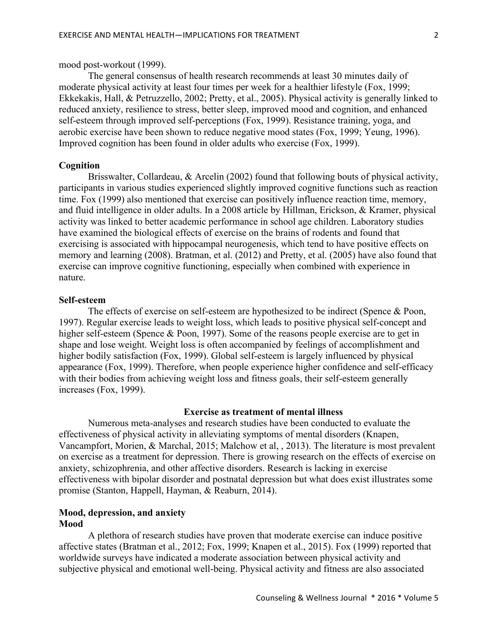# mood post-workout (1999).

The general consensus of health research recommends at least 30 minutes daily of moderate physical activity at least four times per week for a healthier lifestyle (Fox, 1999; Ekkekakis, Hall, & Petruzzello, 2002; Pretty, et al., 2005). Physical activity is generally linked to reduced anxiety, resilience to stress, better sleep, improved mood and cognition, and enhanced self-esteem through improved self-perceptions (Fox, 1999). Resistance training, yoga, and aerobic exercise have been shown to reduce negative mood states (Fox, 1999; Yeung, 1996). Improved cognition has been found in older adults who exercise (Fox, 1999).

# **Cognition**

Brisswalter, Collardeau, & Arcelin (2002) found that following bouts of physical activity, participants in various studies experienced slightly improved cognitive functions such as reaction time. Fox (1999) also mentioned that exercise can positively influence reaction time, memory, and fluid intelligence in older adults. In a 2008 article by Hillman, Erickson, & Kramer, physical activity was linked to better academic performance in school age children. Laboratory studies have examined the biological effects of exercise on the brains of rodents and found that exercising is associated with hippocampal neurogenesis, which tend to have positive effects on memory and learning (2008). Bratman, et al. (2012) and Pretty, et al. (2005) have also found that exercise can improve cognitive functioning, especially when combined with experience in nature.

# **Self-esteem**

The effects of exercise on self-esteem are hypothesized to be indirect (Spence & Poon, 1997). Regular exercise leads to weight loss, which leads to positive physical self-concept and higher self-esteem (Spence & Poon, 1997). Some of the reasons people exercise are to get in shape and lose weight. Weight loss is often accompanied by feelings of accomplishment and higher bodily satisfaction (Fox, 1999). Global self-esteem is largely influenced by physical appearance (Fox, 1999). Therefore, when people experience higher confidence and self-efficacy with their bodies from achieving weight loss and fitness goals, their self-esteem generally increases (Fox, 1999).

# **Exercise as treatment of mental illness**

Numerous meta-analyses and research studies have been conducted to evaluate the effectiveness of physical activity in alleviating symptoms of mental disorders (Knapen, Vancampfort, Morien, & Marchal, 2015; Malchow et al, , 2013). The literature is most prevalent on exercise as a treatment for depression. There is growing research on the effects of exercise on anxiety, schizophrenia, and other affective disorders. Research is lacking in exercise effectiveness with bipolar disorder and postnatal depression but what does exist illustrates some promise (Stanton, Happell, Hayman, & Reaburn, 2014).

#### **Mood, depression, and anxiety Mood**

A plethora of research studies have proven that moderate exercise can induce positive affective states (Bratman et al., 2012; Fox, 1999; Knapen et al., 2015). Fox (1999) reported that worldwide surveys have indicated a moderate association between physical activity and subjective physical and emotional well-being. Physical activity and fitness are also associated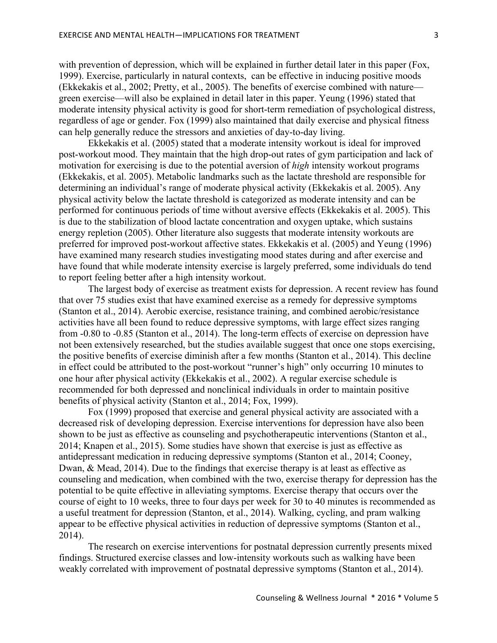with prevention of depression, which will be explained in further detail later in this paper (Fox, 1999). Exercise, particularly in natural contexts, can be effective in inducing positive moods (Ekkekakis et al., 2002; Pretty, et al., 2005). The benefits of exercise combined with nature green exercise—will also be explained in detail later in this paper. Yeung (1996) stated that moderate intensity physical activity is good for short-term remediation of psychological distress, regardless of age or gender. Fox (1999) also maintained that daily exercise and physical fitness can help generally reduce the stressors and anxieties of day-to-day living.

Ekkekakis et al. (2005) stated that a moderate intensity workout is ideal for improved post-workout mood. They maintain that the high drop-out rates of gym participation and lack of motivation for exercising is due to the potential aversion of *high* intensity workout programs (Ekkekakis, et al. 2005). Metabolic landmarks such as the lactate threshold are responsible for determining an individual's range of moderate physical activity (Ekkekakis et al. 2005). Any physical activity below the lactate threshold is categorized as moderate intensity and can be performed for continuous periods of time without aversive effects (Ekkekakis et al. 2005). This is due to the stabilization of blood lactate concentration and oxygen uptake, which sustains energy repletion (2005). Other literature also suggests that moderate intensity workouts are preferred for improved post-workout affective states. Ekkekakis et al. (2005) and Yeung (1996) have examined many research studies investigating mood states during and after exercise and have found that while moderate intensity exercise is largely preferred, some individuals do tend to report feeling better after a high intensity workout.

The largest body of exercise as treatment exists for depression. A recent review has found that over 75 studies exist that have examined exercise as a remedy for depressive symptoms (Stanton et al., 2014). Aerobic exercise, resistance training, and combined aerobic/resistance activities have all been found to reduce depressive symptoms, with large effect sizes ranging from -0.80 to -0.85 (Stanton et al., 2014). The long-term effects of exercise on depression have not been extensively researched, but the studies available suggest that once one stops exercising, the positive benefits of exercise diminish after a few months (Stanton et al., 2014). This decline in effect could be attributed to the post-workout "runner's high" only occurring 10 minutes to one hour after physical activity (Ekkekakis et al., 2002). A regular exercise schedule is recommended for both depressed and nonclinical individuals in order to maintain positive benefits of physical activity (Stanton et al., 2014; Fox, 1999).

Fox (1999) proposed that exercise and general physical activity are associated with a decreased risk of developing depression. Exercise interventions for depression have also been shown to be just as effective as counseling and psychotherapeutic interventions (Stanton et al., 2014; Knapen et al., 2015). Some studies have shown that exercise is just as effective as antidepressant medication in reducing depressive symptoms (Stanton et al., 2014; Cooney, Dwan, & Mead, 2014). Due to the findings that exercise therapy is at least as effective as counseling and medication, when combined with the two, exercise therapy for depression has the potential to be quite effective in alleviating symptoms. Exercise therapy that occurs over the course of eight to 10 weeks, three to four days per week for 30 to 40 minutes is recommended as a useful treatment for depression (Stanton, et al., 2014). Walking, cycling, and pram walking appear to be effective physical activities in reduction of depressive symptoms (Stanton et al., 2014).

The research on exercise interventions for postnatal depression currently presents mixed findings. Structured exercise classes and low-intensity workouts such as walking have been weakly correlated with improvement of postnatal depressive symptoms (Stanton et al., 2014).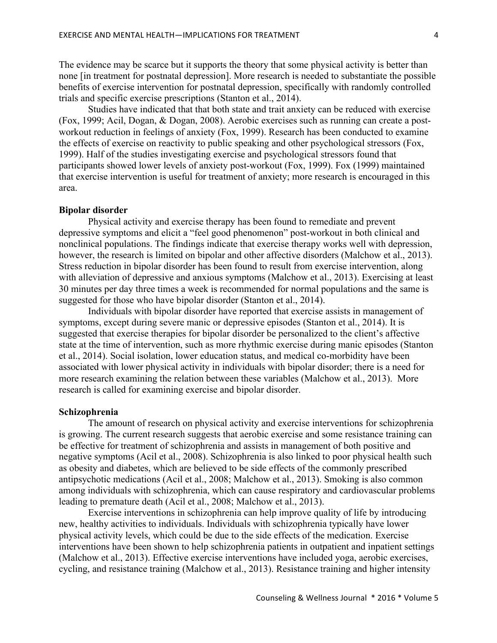The evidence may be scarce but it supports the theory that some physical activity is better than none [in treatment for postnatal depression]. More research is needed to substantiate the possible benefits of exercise intervention for postnatal depression, specifically with randomly controlled trials and specific exercise prescriptions (Stanton et al., 2014).

Studies have indicated that that both state and trait anxiety can be reduced with exercise (Fox, 1999; Acil, Dogan, & Dogan, 2008). Aerobic exercises such as running can create a postworkout reduction in feelings of anxiety (Fox, 1999). Research has been conducted to examine the effects of exercise on reactivity to public speaking and other psychological stressors (Fox, 1999). Half of the studies investigating exercise and psychological stressors found that participants showed lower levels of anxiety post-workout (Fox, 1999). Fox (1999) maintained that exercise intervention is useful for treatment of anxiety; more research is encouraged in this area.

# **Bipolar disorder**

Physical activity and exercise therapy has been found to remediate and prevent depressive symptoms and elicit a "feel good phenomenon" post-workout in both clinical and nonclinical populations. The findings indicate that exercise therapy works well with depression, however, the research is limited on bipolar and other affective disorders (Malchow et al., 2013). Stress reduction in bipolar disorder has been found to result from exercise intervention, along with alleviation of depressive and anxious symptoms (Malchow et al., 2013). Exercising at least 30 minutes per day three times a week is recommended for normal populations and the same is suggested for those who have bipolar disorder (Stanton et al., 2014).

Individuals with bipolar disorder have reported that exercise assists in management of symptoms, except during severe manic or depressive episodes (Stanton et al., 2014). It is suggested that exercise therapies for bipolar disorder be personalized to the client's affective state at the time of intervention, such as more rhythmic exercise during manic episodes (Stanton et al., 2014). Social isolation, lower education status, and medical co-morbidity have been associated with lower physical activity in individuals with bipolar disorder; there is a need for more research examining the relation between these variables (Malchow et al., 2013). More research is called for examining exercise and bipolar disorder.

# **Schizophrenia**

The amount of research on physical activity and exercise interventions for schizophrenia is growing. The current research suggests that aerobic exercise and some resistance training can be effective for treatment of schizophrenia and assists in management of both positive and negative symptoms (Acil et al., 2008). Schizophrenia is also linked to poor physical health such as obesity and diabetes, which are believed to be side effects of the commonly prescribed antipsychotic medications (Acil et al., 2008; Malchow et al., 2013). Smoking is also common among individuals with schizophrenia, which can cause respiratory and cardiovascular problems leading to premature death (Acil et al., 2008; Malchow et al., 2013).

Exercise interventions in schizophrenia can help improve quality of life by introducing new, healthy activities to individuals. Individuals with schizophrenia typically have lower physical activity levels, which could be due to the side effects of the medication. Exercise interventions have been shown to help schizophrenia patients in outpatient and inpatient settings (Malchow et al., 2013). Effective exercise interventions have included yoga, aerobic exercises, cycling, and resistance training (Malchow et al., 2013). Resistance training and higher intensity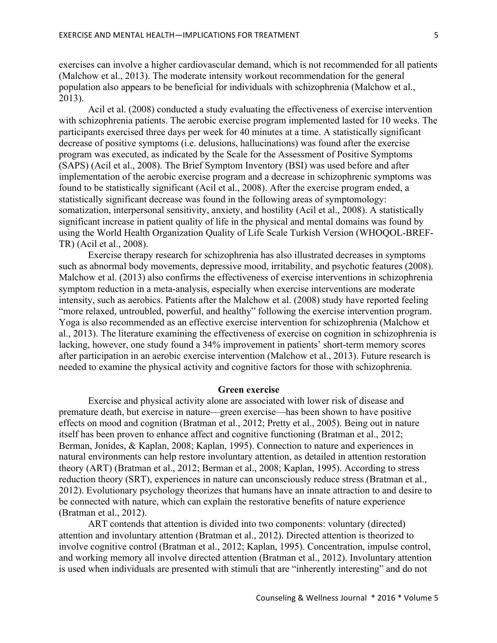exercises can involve a higher cardiovascular demand, which is not recommended for all patients (Malchow et al., 2013). The moderate intensity workout recommendation for the general population also appears to be beneficial for individuals with schizophrenia (Malchow et al., 2013).

Acil et al. (2008) conducted a study evaluating the effectiveness of exercise intervention with schizophrenia patients. The aerobic exercise program implemented lasted for 10 weeks. The participants exercised three days per week for 40 minutes at a time. A statistically significant decrease of positive symptoms (i.e. delusions, hallucinations) was found after the exercise program was executed, as indicated by the Scale for the Assessment of Positive Symptoms (SAPS) (Acil et al., 2008). The Brief Symptom Inventory (BSI) was used before and after implementation of the aerobic exercise program and a decrease in schizophrenic symptoms was found to be statistically significant (Acil et al., 2008). After the exercise program ended, a statistically significant decrease was found in the following areas of symptomology: somatization, interpersonal sensitivity, anxiety, and hostility (Acil et al., 2008). A statistically significant increase in patient quality of life in the physical and mental domains was found by using the World Health Organization Quality of Life Scale Turkish Version (WHOQOL-BREF-TR) (Acil et al., 2008).

Exercise therapy research for schizophrenia has also illustrated decreases in symptoms such as abnormal body movements, depressive mood, irritability, and psychotic features (2008). Malchow et al. (2013) also confirms the effectiveness of exercise interventions in schizophrenia symptom reduction in a meta-analysis, especially when exercise interventions are moderate intensity, such as aerobics. Patients after the Malchow et al. (2008) study have reported feeling "more relaxed, untroubled, powerful, and healthy" following the exercise intervention program. Yoga is also recommended as an effective exercise intervention for schizophrenia (Malchow et al., 2013). The literature examining the effectiveness of exercise on cognition in schizophrenia is lacking, however, one study found a 34% improvement in patients' short-term memory scores after participation in an aerobic exercise intervention (Malchow et al., 2013). Future research is needed to examine the physical activity and cognitive factors for those with schizophrenia.

# **Green exercise**

Exercise and physical activity alone are associated with lower risk of disease and premature death, but exercise in nature—green exercise—has been shown to have positive effects on mood and cognition (Bratman et al., 2012; Pretty et al., 2005). Being out in nature itself has been proven to enhance affect and cognitive functioning (Bratman et al., 2012; Berman, Jonides, & Kaplan, 2008; Kaplan, 1995). Connection to nature and experiences in natural environments can help restore involuntary attention, as detailed in attention restoration theory (ART) (Bratman et al., 2012; Berman et al., 2008; Kaplan, 1995). According to stress reduction theory (SRT), experiences in nature can unconsciously reduce stress (Bratman et al., 2012). Evolutionary psychology theorizes that humans have an innate attraction to and desire to be connected with nature, which can explain the restorative benefits of nature experience (Bratman et al., 2012).

ART contends that attention is divided into two components: voluntary (directed) attention and involuntary attention (Bratman et al., 2012). Directed attention is theorized to involve cognitive control (Bratman et al., 2012; Kaplan, 1995). Concentration, impulse control, and working memory all involve directed attention (Bratman et al., 2012). Involuntary attention is used when individuals are presented with stimuli that are "inherently interesting" and do not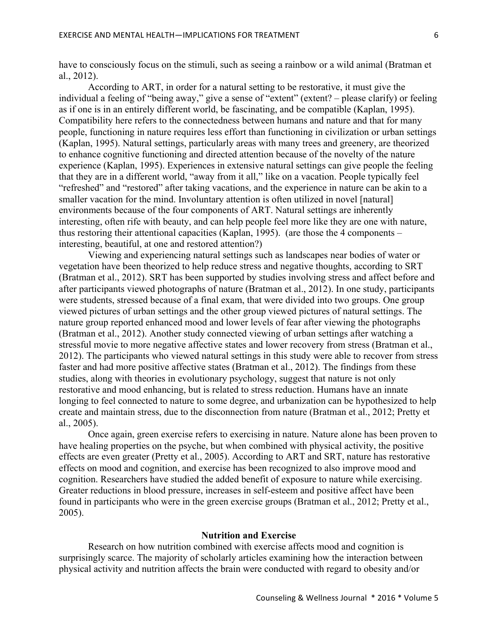have to consciously focus on the stimuli, such as seeing a rainbow or a wild animal (Bratman et al., 2012).

According to ART, in order for a natural setting to be restorative, it must give the individual a feeling of "being away," give a sense of "extent" (extent? – please clarify) or feeling as if one is in an entirely different world, be fascinating, and be compatible (Kaplan, 1995). Compatibility here refers to the connectedness between humans and nature and that for many people, functioning in nature requires less effort than functioning in civilization or urban settings (Kaplan, 1995). Natural settings, particularly areas with many trees and greenery, are theorized to enhance cognitive functioning and directed attention because of the novelty of the nature experience (Kaplan, 1995). Experiences in extensive natural settings can give people the feeling that they are in a different world, "away from it all," like on a vacation. People typically feel "refreshed" and "restored" after taking vacations, and the experience in nature can be akin to a smaller vacation for the mind. Involuntary attention is often utilized in novel [natural] environments because of the four components of ART. Natural settings are inherently interesting, often rife with beauty, and can help people feel more like they are one with nature, thus restoring their attentional capacities (Kaplan, 1995). (are those the 4 components – interesting, beautiful, at one and restored attention?)

Viewing and experiencing natural settings such as landscapes near bodies of water or vegetation have been theorized to help reduce stress and negative thoughts, according to SRT (Bratman et al., 2012). SRT has been supported by studies involving stress and affect before and after participants viewed photographs of nature (Bratman et al., 2012). In one study, participants were students, stressed because of a final exam, that were divided into two groups. One group viewed pictures of urban settings and the other group viewed pictures of natural settings. The nature group reported enhanced mood and lower levels of fear after viewing the photographs (Bratman et al., 2012). Another study connected viewing of urban settings after watching a stressful movie to more negative affective states and lower recovery from stress (Bratman et al., 2012). The participants who viewed natural settings in this study were able to recover from stress faster and had more positive affective states (Bratman et al., 2012). The findings from these studies, along with theories in evolutionary psychology, suggest that nature is not only restorative and mood enhancing, but is related to stress reduction. Humans have an innate longing to feel connected to nature to some degree, and urbanization can be hypothesized to help create and maintain stress, due to the disconnection from nature (Bratman et al., 2012; Pretty et al., 2005).

Once again, green exercise refers to exercising in nature. Nature alone has been proven to have healing properties on the psyche, but when combined with physical activity, the positive effects are even greater (Pretty et al., 2005). According to ART and SRT, nature has restorative effects on mood and cognition, and exercise has been recognized to also improve mood and cognition. Researchers have studied the added benefit of exposure to nature while exercising. Greater reductions in blood pressure, increases in self-esteem and positive affect have been found in participants who were in the green exercise groups (Bratman et al., 2012; Pretty et al., 2005).

# **Nutrition and Exercise**

Research on how nutrition combined with exercise affects mood and cognition is surprisingly scarce. The majority of scholarly articles examining how the interaction between physical activity and nutrition affects the brain were conducted with regard to obesity and/or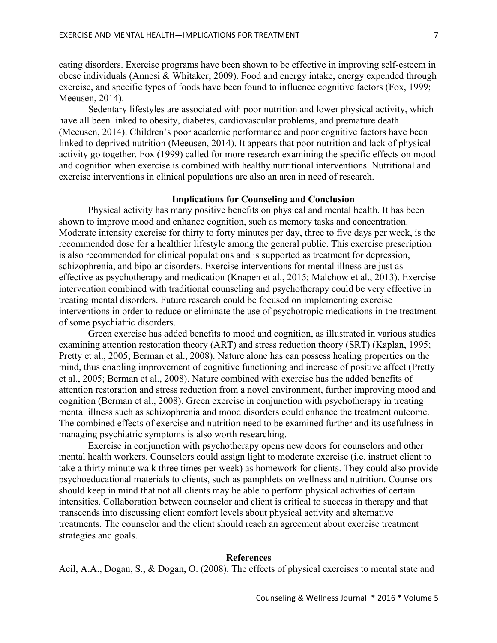eating disorders. Exercise programs have been shown to be effective in improving self-esteem in obese individuals (Annesi & Whitaker, 2009). Food and energy intake, energy expended through exercise, and specific types of foods have been found to influence cognitive factors (Fox, 1999; Meeusen, 2014).

Sedentary lifestyles are associated with poor nutrition and lower physical activity, which have all been linked to obesity, diabetes, cardiovascular problems, and premature death (Meeusen, 2014). Children's poor academic performance and poor cognitive factors have been linked to deprived nutrition (Meeusen, 2014). It appears that poor nutrition and lack of physical activity go together. Fox (1999) called for more research examining the specific effects on mood and cognition when exercise is combined with healthy nutritional interventions. Nutritional and exercise interventions in clinical populations are also an area in need of research.

# **Implications for Counseling and Conclusion**

Physical activity has many positive benefits on physical and mental health. It has been shown to improve mood and enhance cognition, such as memory tasks and concentration. Moderate intensity exercise for thirty to forty minutes per day, three to five days per week, is the recommended dose for a healthier lifestyle among the general public. This exercise prescription is also recommended for clinical populations and is supported as treatment for depression, schizophrenia, and bipolar disorders. Exercise interventions for mental illness are just as effective as psychotherapy and medication (Knapen et al., 2015; Malchow et al., 2013). Exercise intervention combined with traditional counseling and psychotherapy could be very effective in treating mental disorders. Future research could be focused on implementing exercise interventions in order to reduce or eliminate the use of psychotropic medications in the treatment of some psychiatric disorders.

Green exercise has added benefits to mood and cognition, as illustrated in various studies examining attention restoration theory (ART) and stress reduction theory (SRT) (Kaplan, 1995; Pretty et al., 2005; Berman et al., 2008). Nature alone has can possess healing properties on the mind, thus enabling improvement of cognitive functioning and increase of positive affect (Pretty et al., 2005; Berman et al., 2008). Nature combined with exercise has the added benefits of attention restoration and stress reduction from a novel environment, further improving mood and cognition (Berman et al., 2008). Green exercise in conjunction with psychotherapy in treating mental illness such as schizophrenia and mood disorders could enhance the treatment outcome. The combined effects of exercise and nutrition need to be examined further and its usefulness in managing psychiatric symptoms is also worth researching.

Exercise in conjunction with psychotherapy opens new doors for counselors and other mental health workers. Counselors could assign light to moderate exercise (i.e. instruct client to take a thirty minute walk three times per week) as homework for clients. They could also provide psychoeducational materials to clients, such as pamphlets on wellness and nutrition. Counselors should keep in mind that not all clients may be able to perform physical activities of certain intensities. Collaboration between counselor and client is critical to success in therapy and that transcends into discussing client comfort levels about physical activity and alternative treatments. The counselor and the client should reach an agreement about exercise treatment strategies and goals.

## **References**

Acil, A.A., Dogan, S., & Dogan, O. (2008). The effects of physical exercises to mental state and